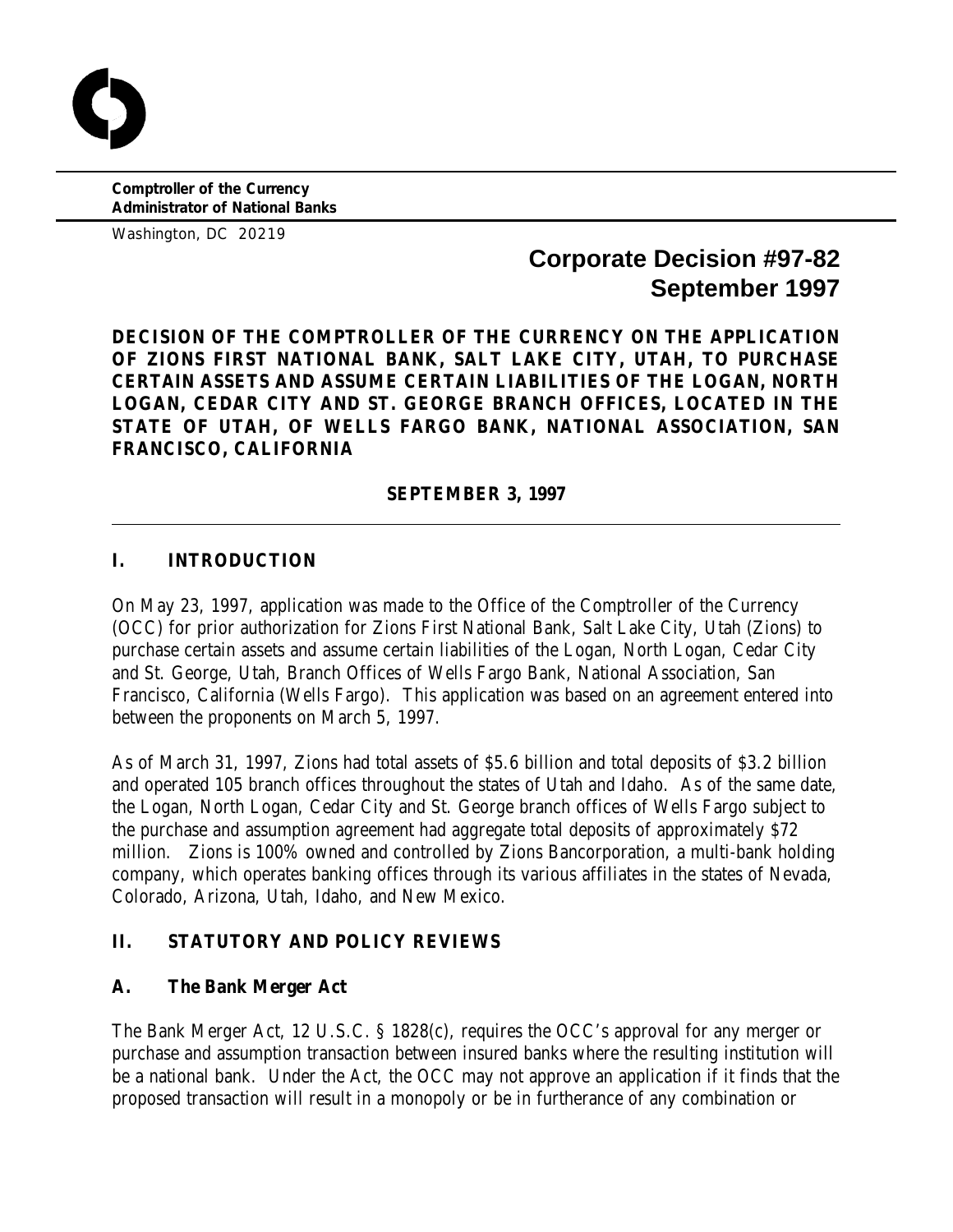**Comptroller of the Currency Administrator of National Banks**

Washington, DC 20219

# **Corporate Decision #97-82 September 1997**

**DECISION OF THE COMPTROLLER OF THE CURRENCY ON THE APPLICATION OF ZIONS FIRST NATIONAL BANK, SALT LAKE CITY, UTAH, TO PURCHASE CERTAIN ASSETS AND ASSUME CERTAIN LIABILITIES OF THE LOGAN, NORTH LOGAN, CEDAR CITY AND ST. GEORGE BRANCH OFFICES, LOCATED IN THE STATE OF UTAH, OF WELLS FARGO BANK, NATIONAL ASSOCIATION, SAN FRANCISCO, CALIFORNIA**

**SEPTEMBER 3, 1997**

# **I. INTRODUCTION**

On May 23, 1997, application was made to the Office of the Comptroller of the Currency (OCC) for prior authorization for Zions First National Bank, Salt Lake City, Utah (Zions) to purchase certain assets and assume certain liabilities of the Logan, North Logan, Cedar City and St. George, Utah, Branch Offices of Wells Fargo Bank, National Association, San Francisco, California (Wells Fargo). This application was based on an agreement entered into between the proponents on March 5, 1997.

As of March 31, 1997, Zions had total assets of \$5.6 billion and total deposits of \$3.2 billion and operated 105 branch offices throughout the states of Utah and Idaho. As of the same date, the Logan, North Logan, Cedar City and St. George branch offices of Wells Fargo subject to the purchase and assumption agreement had aggregate total deposits of approximately \$72 million. Zions is 100% owned and controlled by Zions Bancorporation, a multi-bank holding company, which operates banking offices through its various affiliates in the states of Nevada, Colorado, Arizona, Utah, Idaho, and New Mexico.

## **II. STATUTORY AND POLICY REVIEWS**

## **A. The Bank Merger Act**

The Bank Merger Act, 12 U.S.C. § 1828(c), requires the OCC's approval for any merger or purchase and assumption transaction between insured banks where the resulting institution will be a national bank. Under the Act, the OCC may not approve an application if it finds that the proposed transaction will result in a monopoly or be in furtherance of any combination or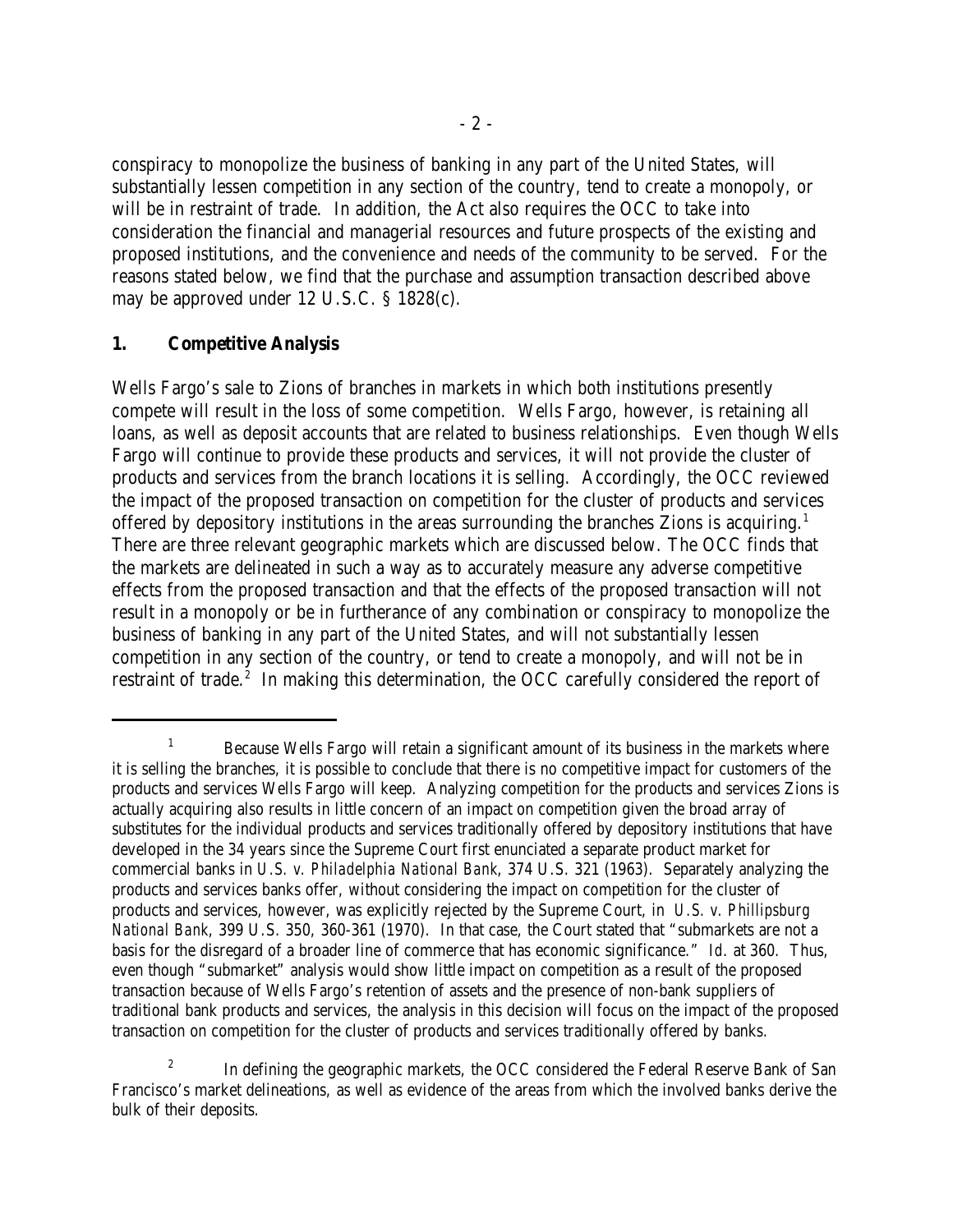conspiracy to monopolize the business of banking in any part of the United States, will substantially lessen competition in any section of the country, tend to create a monopoly, or will be in restraint of trade. In addition, the Act also requires the OCC to take into consideration the financial and managerial resources and future prospects of the existing and proposed institutions, and the convenience and needs of the community to be served. For the reasons stated below, we find that the purchase and assumption transaction described above may be approved under 12 U.S.C. § 1828(c).

#### **1. Competitive Analysis**

Wells Fargo's sale to Zions of branches in markets in which both institutions presently compete will result in the loss of some competition. Wells Fargo, however, is retaining all loans, as well as deposit accounts that are related to business relationships. Even though Wells Fargo will continue to provide these products and services, it will not provide the cluster of products and services from the branch locations it is selling. Accordingly, the OCC reviewed the impact of the proposed transaction on competition for the cluster of products and services offered by depository institutions in the areas surrounding the branches Zions is acquiring.<sup>1</sup> There are three relevant geographic markets which are discussed below. The OCC finds that the markets are delineated in such a way as to accurately measure any adverse competitive effects from the proposed transaction and that the effects of the proposed transaction will not result in a monopoly or be in furtherance of any combination or conspiracy to monopolize the business of banking in any part of the United States, and will not substantially lessen competition in any section of the country, or tend to create a monopoly, and will not be in restraint of trade.<sup>2</sup> In making this determination, the OCC carefully considered the report of

 $B_1$  Because Wells Fargo will retain a significant amount of its business in the markets where it is selling the branches, it is possible to conclude that there is no competitive impact for customers of the products and services Wells Fargo will keep. Analyzing competition for the products and services Zions is actually acquiring also results in little concern of an impact on competition given the broad array of substitutes for the individual products and services traditionally offered by depository institutions that have developed in the 34 years since the Supreme Court first enunciated a separate product market for commercial banks in *U.S. v. Philadelphia National Bank*, 374 U.S. 321 (1963). Separately analyzing the products and services banks offer, without considering the impact on competition for the cluster of products and services, however, was explicitly rejected by the Supreme Court, in *U.S. v. Phillipsburg National Bank*, 399 U.S. 350, 360-361 (1970). In that case, the Court stated that "submarkets are not a basis for the disregard of a broader line of commerce that has economic significance." *Id*. at 360. Thus, even though "submarket" analysis would show little impact on competition as a result of the proposed transaction because of Wells Fargo's retention of assets and the presence of non-bank suppliers of traditional bank products and services, the analysis in this decision will focus on the impact of the proposed transaction on competition for the cluster of products and services traditionally offered by banks.

<sup>&</sup>lt;sup>2</sup> In defining the geographic markets, the OCC considered the Federal Reserve Bank of San Francisco's market delineations, as well as evidence of the areas from which the involved banks derive the bulk of their deposits.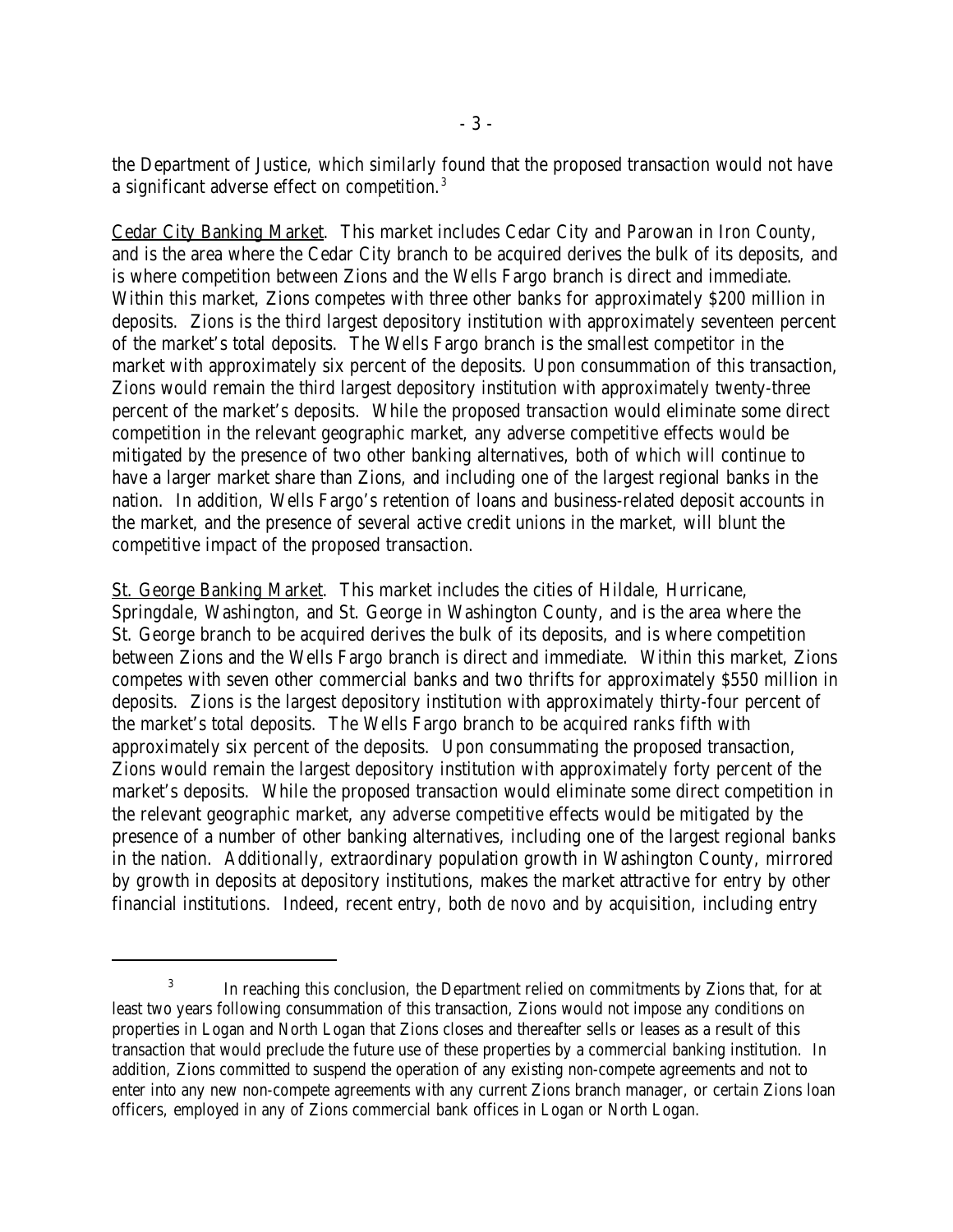the Department of Justice, which similarly found that the proposed transaction would not have a significant adverse effect on competition.<sup>3</sup>

Cedar City Banking Market. This market includes Cedar City and Parowan in Iron County, and is the area where the Cedar City branch to be acquired derives the bulk of its deposits, and is where competition between Zions and the Wells Fargo branch is direct and immediate. Within this market, Zions competes with three other banks for approximately \$200 million in deposits. Zions is the third largest depository institution with approximately seventeen percent of the market's total deposits. The Wells Fargo branch is the smallest competitor in the market with approximately six percent of the deposits. Upon consummation of this transaction, Zions would remain the third largest depository institution with approximately twenty-three percent of the market's deposits. While the proposed transaction would eliminate some direct competition in the relevant geographic market, any adverse competitive effects would be mitigated by the presence of two other banking alternatives, both of which will continue to have a larger market share than Zions, and including one of the largest regional banks in the nation. In addition, Wells Fargo's retention of loans and business-related deposit accounts in the market, and the presence of several active credit unions in the market, will blunt the competitive impact of the proposed transaction.

St. George Banking Market. This market includes the cities of Hildale, Hurricane, Springdale, Washington, and St. George in Washington County, and is the area where the St. George branch to be acquired derives the bulk of its deposits, and is where competition between Zions and the Wells Fargo branch is direct and immediate. Within this market, Zions competes with seven other commercial banks and two thrifts for approximately \$550 million in deposits. Zions is the largest depository institution with approximately thirty-four percent of the market's total deposits. The Wells Fargo branch to be acquired ranks fifth with approximately six percent of the deposits. Upon consummating the proposed transaction, Zions would remain the largest depository institution with approximately forty percent of the market's deposits. While the proposed transaction would eliminate some direct competition in the relevant geographic market, any adverse competitive effects would be mitigated by the presence of a number of other banking alternatives, including one of the largest regional banks in the nation. Additionally, extraordinary population growth in Washington County, mirrored by growth in deposits at depository institutions, makes the market attractive for entry by other financial institutions. Indeed, recent entry, both *de novo* and by acquisition, including entry

<sup>&</sup>lt;sup>3</sup> In reaching this conclusion, the Department relied on commitments by Zions that, for at least two years following consummation of this transaction, Zions would not impose any conditions on properties in Logan and North Logan that Zions closes and thereafter sells or leases as a result of this transaction that would preclude the future use of these properties by a commercial banking institution. In addition, Zions committed to suspend the operation of any existing non-compete agreements and not to enter into any new non-compete agreements with any current Zions branch manager, or certain Zions loan officers, employed in any of Zions commercial bank offices in Logan or North Logan.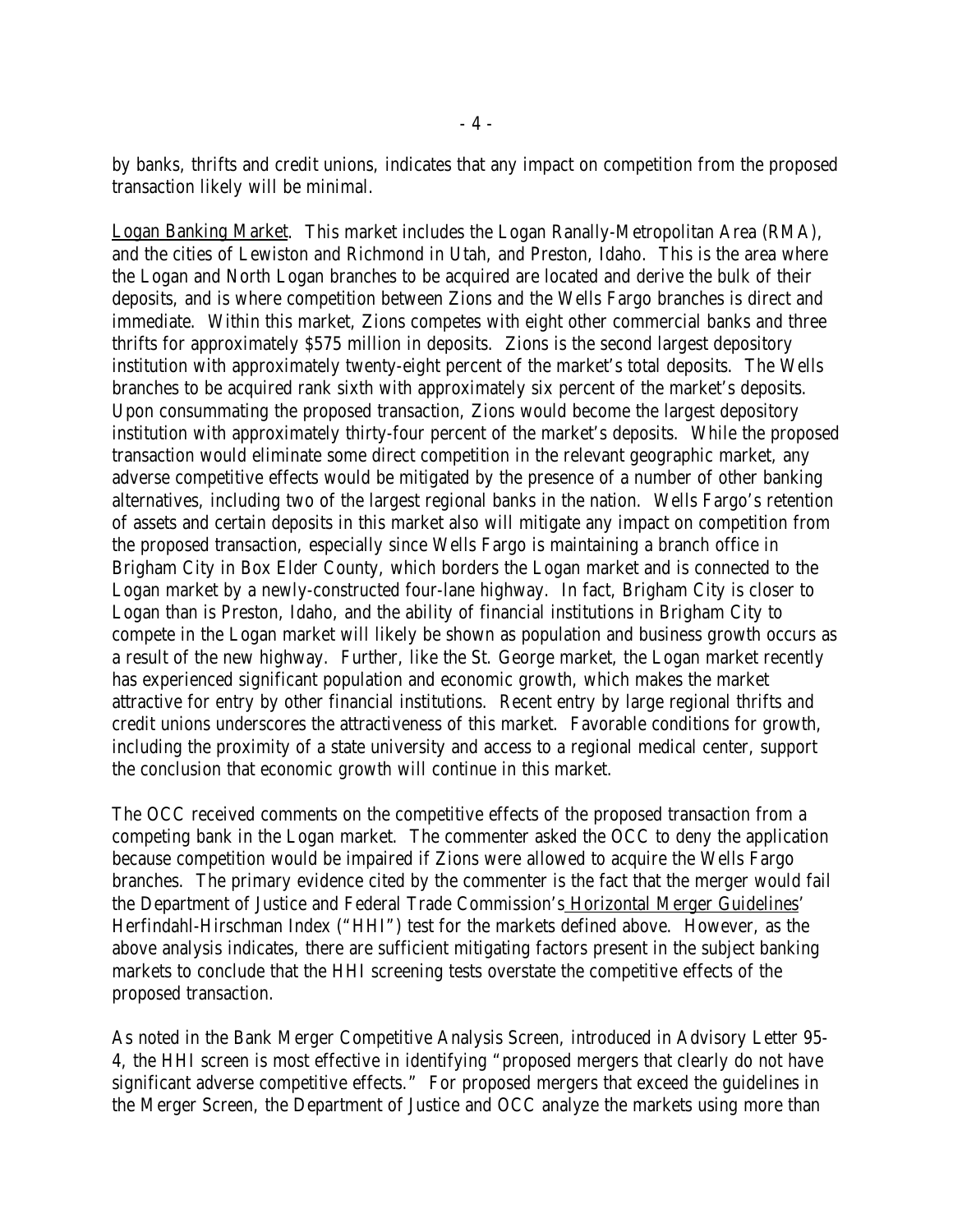by banks, thrifts and credit unions, indicates that any impact on competition from the proposed transaction likely will be minimal.

Logan Banking Market. This market includes the Logan Ranally-Metropolitan Area (RMA), and the cities of Lewiston and Richmond in Utah, and Preston, Idaho. This is the area where the Logan and North Logan branches to be acquired are located and derive the bulk of their deposits, and is where competition between Zions and the Wells Fargo branches is direct and immediate. Within this market, Zions competes with eight other commercial banks and three thrifts for approximately \$575 million in deposits. Zions is the second largest depository institution with approximately twenty-eight percent of the market's total deposits. The Wells branches to be acquired rank sixth with approximately six percent of the market's deposits. Upon consummating the proposed transaction, Zions would become the largest depository institution with approximately thirty-four percent of the market's deposits. While the proposed transaction would eliminate some direct competition in the relevant geographic market, any adverse competitive effects would be mitigated by the presence of a number of other banking alternatives, including two of the largest regional banks in the nation. Wells Fargo's retention of assets and certain deposits in this market also will mitigate any impact on competition from the proposed transaction, especially since Wells Fargo is maintaining a branch office in Brigham City in Box Elder County, which borders the Logan market and is connected to the Logan market by a newly-constructed four-lane highway. In fact, Brigham City is closer to Logan than is Preston, Idaho, and the ability of financial institutions in Brigham City to compete in the Logan market will likely be shown as population and business growth occurs as a result of the new highway. Further, like the St. George market, the Logan market recently has experienced significant population and economic growth, which makes the market attractive for entry by other financial institutions. Recent entry by large regional thrifts and credit unions underscores the attractiveness of this market. Favorable conditions for growth, including the proximity of a state university and access to a regional medical center, support the conclusion that economic growth will continue in this market.

The OCC received comments on the competitive effects of the proposed transaction from a competing bank in the Logan market. The commenter asked the OCC to deny the application because competition would be impaired if Zions were allowed to acquire the Wells Fargo branches. The primary evidence cited by the commenter is the fact that the merger would fail the Department of Justice and Federal Trade Commission's Horizontal Merger Guidelines' Herfindahl-Hirschman Index ("HHI") test for the markets defined above. However, as the above analysis indicates, there are sufficient mitigating factors present in the subject banking markets to conclude that the HHI screening tests overstate the competitive effects of the proposed transaction.

As noted in the Bank Merger Competitive Analysis Screen, introduced in Advisory Letter 95- 4, the HHI screen is most effective in identifying "proposed mergers that clearly do not have significant adverse competitive effects." For proposed mergers that exceed the guidelines in the Merger Screen, the Department of Justice and OCC analyze the markets using more than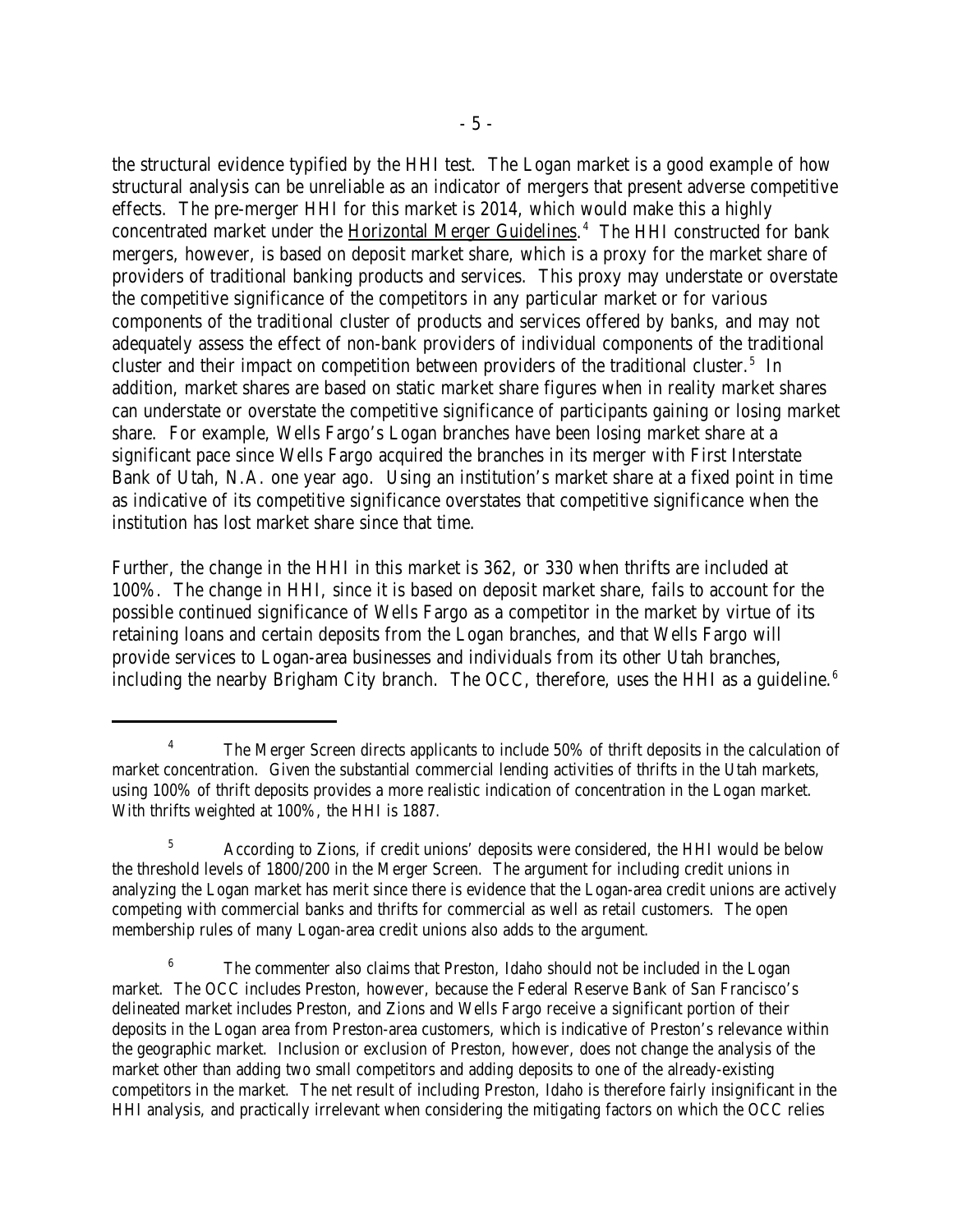the structural evidence typified by the HHI test. The Logan market is a good example of how structural analysis can be unreliable as an indicator of mergers that present adverse competitive effects. The pre-merger HHI for this market is 2014, which would make this a highly concentrated market under the Horizontal Merger Guidelines.<sup>4</sup> The HHI constructed for bank mergers, however, is based on deposit market share, which is a proxy for the market share of providers of traditional banking products and services. This proxy may understate or overstate the competitive significance of the competitors in any particular market or for various components of the traditional cluster of products and services offered by banks, and may not adequately assess the effect of non-bank providers of individual components of the traditional cluster and their impact on competition between providers of the traditional cluster.<sup>5</sup> In addition, market shares are based on static market share figures when in reality market shares can understate or overstate the competitive significance of participants gaining or losing market share. For example, Wells Fargo's Logan branches have been losing market share at a significant pace since Wells Fargo acquired the branches in its merger with First Interstate Bank of Utah, N.A. one year ago. Using an institution's market share at a fixed point in time as indicative of its competitive significance overstates that competitive significance when the institution has lost market share since that time.

Further, the change in the HHI in this market is 362, or 330 when thrifts are included at 100%. The change in HHI, since it is based on deposit market share, fails to account for the possible continued significance of Wells Fargo as a competitor in the market by virtue of its retaining loans and certain deposits from the Logan branches, and that Wells Fargo will provide services to Logan-area businesses and individuals from its other Utah branches, including the nearby Brigham City branch. The OCC, therefore, uses the HHI as a guideline. $6$ 

<sup>&</sup>lt;sup>4</sup> The Merger Screen directs applicants to include  $50\%$  of thrift deposits in the calculation of market concentration. Given the substantial commercial lending activities of thrifts in the Utah markets, using 100% of thrift deposits provides a more realistic indication of concentration in the Logan market. With thrifts weighted at 100%, the HHI is 1887.

According to Zions, if credit unions' deposits were considered, the HHI would be below <sup>5</sup> the threshold levels of 1800/200 in the Merger Screen. The argument for including credit unions in analyzing the Logan market has merit since there is evidence that the Logan-area credit unions are actively competing with commercial banks and thrifts for commercial as well as retail customers. The open membership rules of many Logan-area credit unions also adds to the argument.

<sup>&</sup>lt;sup>6</sup> The commenter also claims that Preston, Idaho should not be included in the Logan market. The OCC includes Preston, however, because the Federal Reserve Bank of San Francisco's delineated market includes Preston, and Zions and Wells Fargo receive a significant portion of their deposits in the Logan area from Preston-area customers, which is indicative of Preston's relevance within the geographic market. Inclusion or exclusion of Preston, however, does not change the analysis of the market other than adding two small competitors and adding deposits to one of the already-existing competitors in the market. The net result of including Preston, Idaho is therefore fairly insignificant in the HHI analysis, and practically irrelevant when considering the mitigating factors on which the OCC relies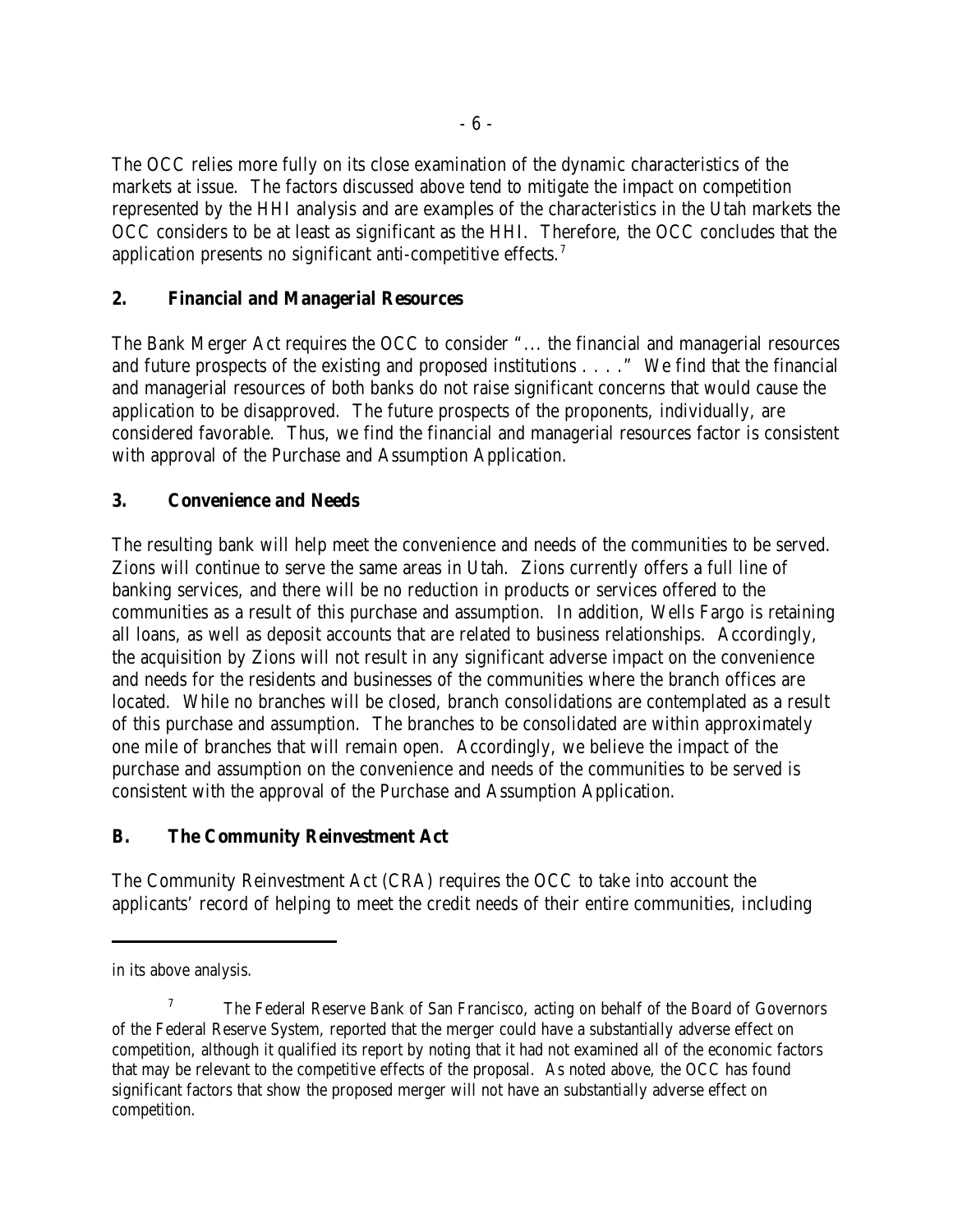The OCC relies more fully on its close examination of the dynamic characteristics of the markets at issue. The factors discussed above tend to mitigate the impact on competition represented by the HHI analysis and are examples of the characteristics in the Utah markets the OCC considers to be at least as significant as the HHI. Therefore, the OCC concludes that the application presents no significant anti-competitive effects.<sup>7</sup>

## **2. Financial and Managerial Resources**

The Bank Merger Act requires the OCC to consider "... the financial and managerial resources and future prospects of the existing and proposed institutions . . . ." We find that the financial and managerial resources of both banks do not raise significant concerns that would cause the application to be disapproved. The future prospects of the proponents, individually, are considered favorable. Thus, we find the financial and managerial resources factor is consistent with approval of the Purchase and Assumption Application.

# **3. Convenience and Needs**

The resulting bank will help meet the convenience and needs of the communities to be served. Zions will continue to serve the same areas in Utah. Zions currently offers a full line of banking services, and there will be no reduction in products or services offered to the communities as a result of this purchase and assumption. In addition, Wells Fargo is retaining all loans, as well as deposit accounts that are related to business relationships. Accordingly, the acquisition by Zions will not result in any significant adverse impact on the convenience and needs for the residents and businesses of the communities where the branch offices are located. While no branches will be closed, branch consolidations are contemplated as a result of this purchase and assumption. The branches to be consolidated are within approximately one mile of branches that will remain open. Accordingly, we believe the impact of the purchase and assumption on the convenience and needs of the communities to be served is consistent with the approval of the Purchase and Assumption Application.

## **B. The Community Reinvestment Act**

The Community Reinvestment Act (CRA) requires the OCC to take into account the applicants' record of helping to meet the credit needs of their entire communities, including

in its above analysis.

 $T$  The Federal Reserve Bank of San Francisco, acting on behalf of the Board of Governors of the Federal Reserve System, reported that the merger could have a substantially adverse effect on competition, although it qualified its report by noting that it had not examined all of the economic factors that may be relevant to the competitive effects of the proposal. As noted above, the OCC has found significant factors that show the proposed merger will not have an substantially adverse effect on competition.